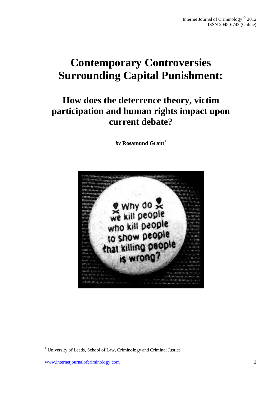# **Contemporary Controversies Surrounding Capital Punishment:**

# **How does the deterrence theory, victim participation and human rights impact upon current debate?**

*by* **Rosamund Grant<sup>1</sup>**



.

<sup>1</sup> University of Leeds, School of Law, Criminology and Criminal Justice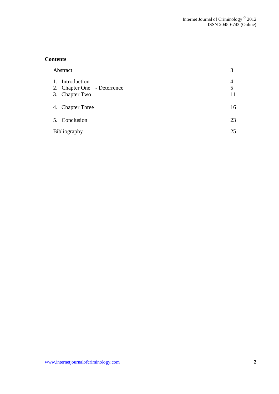# **Contents**

| Abstract |                                                                  | 3            |
|----------|------------------------------------------------------------------|--------------|
|          | 1. Introduction<br>2. Chapter One - Deterrence<br>3. Chapter Two | 4<br>5<br>11 |
|          | 4. Chapter Three                                                 | 16           |
|          | 5. Conclusion                                                    | 23           |
|          | Bibliography                                                     |              |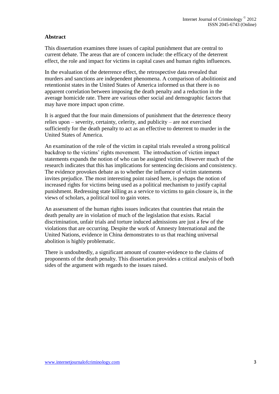## **Abstract**

This dissertation examines three issues of capital punishment that are central to current debate. The areas that are of concern include: the efficacy of the deterrent effect, the role and impact for victims in capital cases and human rights influences.

In the evaluation of the deterrence effect, the retrospective data revealed that murders and sanctions are independent phenomena. A comparison of abolitionist and retentionist states in the United States of America informed us that there is no apparent correlation between imposing the death penalty and a reduction in the average homicide rate. There are various other social and demographic factors that may have more impact upon crime.

It is argued that the four main dimensions of punishment that the deterrence theory relies upon – severity, certainty, celerity, and publicity – are not exercised sufficiently for the death penalty to act as an effective to deterrent to murder in the United States of America.

An examination of the role of the victim in capital trials revealed a strong political backdrop to the victims' rights movement. The introduction of victim impact statements expands the notion of who can be assigned victim. However much of the research indicates that this has implications for sentencing decisions and consistency. The evidence provokes debate as to whether the influence of victim statements invites prejudice. The most interesting point raised here, is perhaps the notion of increased rights for victims being used as a political mechanism to justify capital punishment. Redressing state killing as a service to victims to gain closure is, in the views of scholars, a political tool to gain votes.

An assessment of the human rights issues indicates that countries that retain the death penalty are in violation of much of the legislation that exists. Racial discrimination, unfair trials and torture induced admissions are just a few of the violations that are occurring. Despite the work of Amnesty International and the United Nations, evidence in China demonstrates to us that reaching universal abolition is highly problematic.

There is undoubtedly, a significant amount of counter-evidence to the claims of proponents of the death penalty. This dissertation provides a critical analysis of both sides of the argument with regards to the issues raised.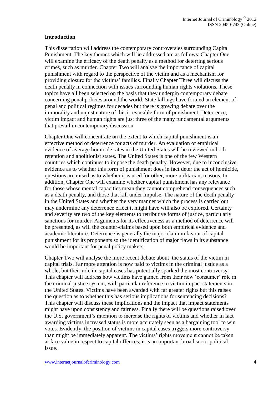#### **Introduction**

This dissertation will address the contemporary controversies surrounding Capital Punishment. The key themes which will be addressed are as follows: Chapter One will examine the efficacy of the death penalty as a method for deterring serious crimes, such as murder. Chapter Two will analyse the importance of capital punishment with regard to the perspective of the victim and as a mechanism for providing closure for the victims' families. Finally Chapter Three will discuss the death penalty in connection with issues surrounding human rights violations. These topics have all been selected on the basis that they underpin contemporary debate concerning penal policies around the world. State killings have formed an element of penal and political regimes for decades but there is growing debate over the immorality and unjust nature of this irrevocable form of punishment. Deterrence, victim impact and human rights are just three of the many fundamental arguments that prevail in contemporary discussion.

Chapter One will concentrate on the extent to which capital punishment is an effective method of deterrence for acts of murder. An evaluation of empirical evidence of average homicide rates in the United States will be reviewed in both retention and abolitionist states. The United States is one of the few Western countries which continues to impose the death penalty. However, due to inconclusive evidence as to whether this form of punishment does in fact deter the act of homicide, questions are raised as to whether it is used for other, more utilitarian, reasons. In addition, Chapter One will examine whether capital punishment has any relevance for those whose mental capacities mean they cannot comprehend consequences such as a death penalty, and those that kill under impulse. The nature of the death penalty in the United States and whether the very manner which the process is carried out may undermine any deterrence effect it might have will also be explored. Certainty and severity are two of the key elements to retributive forms of justice, particularly sanctions for murder. Arguments for its effectiveness as a method of deterrence will be presented, as will the counter-claims based upon both empirical evidence and academic literature. Deterrence is generally the major claim in favour of capital punishment for its proponents so the identification of major flaws in its substance would be important for penal policy makers.

Chapter Two will analyse the more recent debate about the status of the victim in capital trials. Far more attention is now paid to victims in the criminal justice as a whole, but their role in capital cases has potentially sparked the most controversy. This chapter will address how victims have gained from their new 'consumer' role in the criminal justice system, with particular reference to victim impact statements in the United States. Victims have been awarded with far greater rights but this raises the question as to whether this has serious implications for sentencing decisions? This chapter will discuss these implications and the impact that impact statements might have upon consistency and fairness. Finally there will be questions raised over the U.S. government's intention to increase the rights of victims and whether in fact awarding victims increased status is more accurately seen as a bargaining tool to win votes. Evidently, the position of victims in capital cases triggers more controversy than might be immediately apparent. The victims' rights movement cannot be taken at face value in respect to capital offences; it is an important broad socio-political issue.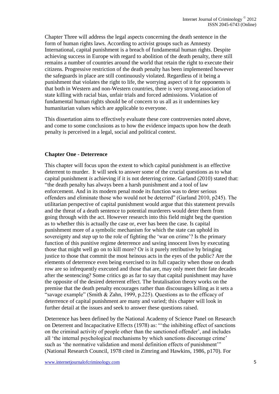Chapter Three will address the legal aspects concerning the death sentence in the form of human rights laws. According to activist groups such as Amnesty International, capital punishment is a breach of fundamental human rights. Despite achieving success in Europe with regard to abolition of the death penalty, there still remains a number of countries around the world that retain the right to execute their citizens. Progressive restriction of the death penalty has been implemented however the safeguards in place are still continuously violated. Regardless of it being a punishment that violates the right to life, the worrying aspect of it for opponents is that both in Western and non-Western countries, there is very strong association of state killing with racial bias, unfair trials and forced admissions. Violation of fundamental human rights should be of concern to us all as it undermines key humanitarian values which are applicable to everyone.

This dissertation aims to effectively evaluate these core controversies noted above, and come to some conclusions as to how the evidence impacts upon how the death penalty is perceived in a legal, social and political context.

#### **Chapter One - Deterrence**

This chapter will focus upon the extent to which capital punishment is an effective deterrent to murder. It will seek to answer some of the crucial questions as to what capital punishment *is* achieving if it is not deterring crime. Garland (2010) stated that: "the death penalty has always been a harsh punishment and a tool of law enforcement. And in its modern penal mode its function was to deter serious offenders and eliminate those who would not be deterred" (Garland 2010, p245). The utilitarian perspective of capital punishment would argue that this statement prevails and the threat of a death sentence to potential murderers would deter them from going through with the act. However research into this field might beg the question as to whether this is actually the case or, ever has been the case. Is capital punishment more of a symbolic mechanism for which the state can uphold its sovereignty and step up to the role of fighting the 'war on crime'? Is the primary function of this punitive regime deterrence and saving innocent lives by executing those that might well go on to kill more? Or is it purely retributive by bringing justice to those that commit the most heinous acts in the eyes of the public? Are the elements of deterrence even being exercised to its full capacity when those on death row are so infrequently executed and those that are, may only meet their fate decades after the sentencing? Some critics go as far to say that capital punishment may have the opposite of the desired deterrent effect. The brutalisation theory works on the premise that the death penalty encourages rather than discourages killing as it sets a "savage example" (Smith & Zahn, 1999, p.225). Questions as to the efficacy of deterrence of capital punishment are many and varied; this chapter will look in further detail at the issues and seek to answer these questions raised.

Deterrence has been defined by the National Academy of Science Panel on Research on Deterrent and Incapacitative Effects (1978) as: "'the inhibiting effect of sanctions on the criminal activity of people other than the sanctioned offender', and includes all 'the internal psychological mechanisms by which sanctions discourage crime' such as 'the normative validation and moral definition effects of punishment'" (National Research Council, 1978 cited in Zimring and Hawkins, 1986, p170). For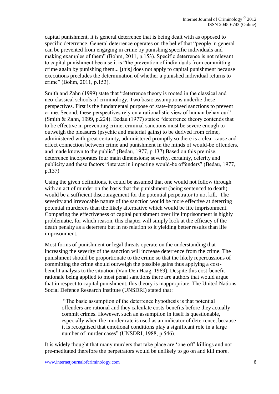capital punishment, it is general deterrence that is being dealt with as opposed to specific deterrence. General deterrence operates on the belief that "people in general can be prevented from engaging in crime by punishing specific individuals and making examples of them" (Bohm, 2011, p.153). Specific deterrence is not relevant to capital punishment because it is "the prevention of individuals from committing crime again by punishing them... [this] does not apply to capital punishment because executions precludes the determination of whether a punished individual returns to crime" (Bohm, 2011, p.153).

Smith and Zahn (1999) state that "deterrence theory is rooted in the classical and neo-classical schools of criminology. Two basic assumptions underlie these perspectives. First is the fundamental purpose of state-imposed sanctions to prevent crime. Second, these perspectives rely on a rationalistic view of human behaviour" (Smith & Zahn, 1999, p.224). Bedau (1977) states: "deterrence theory contends that to be effective in preventing crime, criminal sanctions must be severe enough to outweigh the pleasures (psychic and material gains) to be derived from crime, administered with great certainty, administered promptly so there is a clear cause and effect connection between crime and punishment in the minds of would-be offenders, and made known to the public" (Bedau, 1977, p.137) Based on this premise, deterrence incorporates four main dimensions; severity, certainty, celerity and publicity and these factors "interact in impacting would-be offenders" (Bedau, 1977, p.137)

Using the given definitions, it could be assumed that one would not follow through with an act of murder on the basis that the punishment (being sentenced to death) would be a sufficient discouragement for the potential perpetrator to not kill. The severity and irrevocable nature of the sanction would be more effective at deterring potential murderers than the likely alternative which would be life imprisonment. Comparing the effectiveness of capital punishment over life imprisonment is highly problematic, for which reason, this chapter will simply look at the efficacy of the death penalty as a deterrent but in no relation to it yielding better results than life imprisonment.

Most forms of punishment or legal threats operate on the understanding that increasing the severity of the sanction will increase deterrence from the crime. The punishment should be proportionate to the crime so that the likely repercussions of committing the crime should outweigh the possible gains thus applying a costbenefit analysis to the situation (Van Den Haag, 1969). Despite this cost-benefit rationale being applied to most penal sanctions there are authors that would argue that in respect to capital punishment, this theory is inappropriate. The United Nations Social Defence Research Institute (UNSDRI) stated that:

"The basic assumption of the deterrence hypothesis is that potential offenders are rational and they calculate costs-benefits before they actually commit crimes. However, such an assumption in itself is questionable, especially when the murder rate is used as an indicator of deterrence, because it is recognised that emotional conditions play a significant role in a large number of murder cases" (UNSDRI, 1988, p.546).

It is widely thought that many murders that take place are 'one off' killings and not pre-meditated therefore the perpetrators would be unlikely to go on and kill more.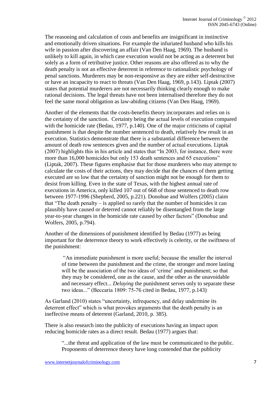The reasoning and calculation of costs and benefits are insignificant in instinctive and emotionally driven situations. For example the infuriated husband who kills his wife in passion after discovering an affair (Van Den Haag, 1969). The husband is unlikely to kill again, in which case execution would not be acting as a deterrent but solely as a form of retributive justice. Other reasons are also offered as to why the death penalty is not an effective deterrent in reference to rationalistic psychology of penal sanctions. Murderers may be non-responsive as they are either self-destructive or have an incapacity to react to threats (Van Den Haag, 1969, p.143). Liptak (2007) states that potential murderers are not necessarily thinking clearly enough to make rational decisions. The legal threats have not been internalised therefore they do not feel the same moral obligation as law-abiding citizens (Van Den Haag, 1969).

Another of the elements that the costs-benefits theory incorporates and relies on is the certainty of the sanction. Certainty being the actual levels of execution compared with the homicide rate (Bedau, 1977, p.140). One of the major criticisms of capital punishment is that despite the number sentenced to death, relatively few result in an execution. Statistics demonstrate that there is a substantial difference between the amount of death row sentences given and the number of actual executions. Liptak (2007) highlights this in his article and states that "In 2003, for instance, there were more than 16,000 homicides but only 153 death sentences and 65 executions" (Liptak, 2007). These figures emphasise that for those murderers who may attempt to calculate the costs of their actions, they may decide that the chances of them getting executed are so low that the certainty of sanction might not be enough for them to desist from killing. Even in the state of Texas, with the highest annual rate of executions in America, only killed 107 out of 668 of those sentenced to death row between 1977-1996 (Shepherd, 2005, p.221). Donohue and Wolfers (2005) claim that "The death penalty  $-\overline{\text{is}}$  applied so rarely that the number of homicides it can plausibly have caused or deterred cannot reliably be disentangled from the large year-to-year changes in the homicide rate caused by other factors" (Donohue and Wolfers, 2005, p.794).

Another of the dimensions of punishment identified by Bedau (1977) as being important for the deterrence theory to work effectively is celerity, or the swiftness of the punishment:

"An immediate punishment is more useful; because the smaller the interval of time between the punishment and the crime, the stronger and more lasting will be the association of the two ideas of 'crime' and punishment; so that they may be considered, one as the cause, and the other as the unavoidable and necessary effect... *Delaying* the punishment serves only to separate these two ideas..." (Beccaria 1809: 75-76 cited in Bedau, 1977, p.143)

As Garland (2010) states "uncertainty, infrequency, and delay undermine its deterrent effect" which is what provokes arguments that the death penalty is an ineffective means of deterrent (Garland, 2010, p. 385).

There is also research into the publicity of executions having an impact upon reducing homicide rates as a direct result. Bedau (1977) argues that:

"...the threat and application of the law must be communicated to the public. Proponents of deterrence theory have long contended that the publicity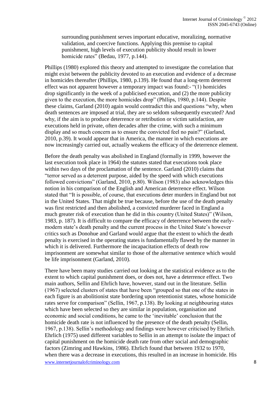surrounding punishment serves important educative, moralizing, normative validation, and coercive functions. Applying this premise to capital punishment, high levels of execution publicity should result in lower homicide rates" (Bedau, 1977, p.144).

Phillips (1980) explored this theory and attempted to investigate the correlation that might exist between the publicity devoted to an execution and evidence of a decrease in homicides thereafter (Phillips, 1980, p.139). He found that a long-term deterrent effect was not apparent however a temporary impact was found:- "(1) homicides drop significantly in the week of a publicised execution, and (2) the more publicity given to the execution, the more homicides drop" (Phllips, 1980, p.144). Despite these claims, Garland (2010) again would contradict this and questions "why, when death sentences are imposed at trial, they are so seldom subsequently executed? And why, if the aim is to produce deterrence or retribution or victim satisfaction, are executions held in private, often decades after the crime, with such a minimum display and so much concern as to ensure the convicted feel no pain?" (Garland, 2010, p.39). It would appear that in America, the manner in which executions are now increasingly carried out, actually weakens the efficacy of the deterrence element.

Before the death penalty was abolished in England (formally in 1999, however the last execution took place in 1964) the statutes stated that executions took place within two days of the proclamation of the sentence. Garland (2010) claims that "terror served as a deterrent purpose, aided by the speed with which executions followed convictions" (Garland, 2010, p.80). Wilson (1983) also acknowledges this notion in his comparison of the English and American deterrence effect. Wilson stated that "It is possible, of course, that executions deter murders in England but not in the United States. That might be true because, before the use of the death penalty was first restricted and then abolished, a convicted murderer faced in England a much greater risk of execution than he did in this country (United States)" (Wilson, 1983, p. 187). It is difficult to compare the efficacy of deterrence between the earlymodern state's death penalty and the current process in the United State's however critics such as Donohue and Garland would argue that the extent to which the death penalty is exercised in the operating states is fundamentally flawed by the manner in which it is delivered. Furthermore the incapacitation effects of death row imprisonment are somewhat similar to those of the alternative sentence which would be life imprisonment (Garland, 2010).

www.internetjournalofcriminology.com 8 There have been many studies carried out looking at the statistical evidence as to the extent to which capital punishment does, or does not, have a deterrence effect. Two main authors, Sellin and Ehrlich have, however, stand out in the literature. Sellin (1967) selected clusters of states that have been "grouped so that one of the states in each figure is an abolitionist state bordering upon retentionist states, whose homicide rates serve for comparison" (Sellin, 1967, p.138). By looking at neighbouring states which have been selected so they are similar in population, organisation and economic and social conditions, he came to the 'inevitable' conclusion that the homicide death rate is not influenced by the presence of the death penalty (Sellin, 1967, p.138). Sellin's methodology and findings were however criticised by Ehrlich. Ehrlich (1975) used different variables to Sellin in an attempt to isolate the impact of capital punishment on the homicide death rate from other social and demographic factors (Zimring and Hawkins, 1986). Ehrlich found that between 1932 to 1970, when there was a decrease in executions, this resulted in an increase in homicide. His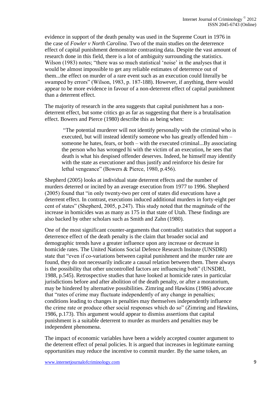evidence in support of the death penalty was used in the Supreme Court in 1976 in the case of *Fowler v North Carolina*. Two of the main studies on the deterrence effect of capital punishment demonstrate contrasting data. Despite the vast amount of research done in this field, there is a lot of ambiguity surrounding the statistics. Wilson (1983) notes; "there was so much statistical 'noise' in the analyses that it would be almost impossible to get any reliable estimates of deterrence out of them...the effect on murder of a rare event such as an execution could literally be swamped by errors" (Wilson, 1983, p. 187-188). However, if anything, there would appear to be more evidence in favour of a non-deterrent effect of capital punishment than a deterrent effect.

The majority of research in the area suggests that capital punishment has a nondeterrent effect, but some critics go as far as suggesting that there is a brutalisation effect. Bowers and Pierce (1980) describe this as being when:

"The potential murderer will not identify personally with the criminal who is executed, but will instead identify someone who has greatly offended him – someone he hates, fears, or both – with the executed criminal...By associating the person who has wronged hi with the victim of an execution, he sees that death is what his despised offender deserves. Indeed, he himself may identify with the state as executioner and thus justify and reinforce his desire for lethal vengeance" (Bowers & Pierce, 1980, p.456).

Shepherd (2005) looks at individual state deterrent effects and the number of murders deterred or incited by an average execution from 1977 to 1996. Shepherd (2005) found that "in only twenty-two per cent of states did executions have a deterrent effect. In contrast, executions induced additional murders in forty-eight per cent of states" (Shepherd, 2005, p.247). This study noted that the magnitude of the increase in homicides was as many as 175 in that state of Utah. These findings are also backed by other scholars such as Smith and Zahn (1980).

One of the most significant counter-arguments that contradict statistics that support a deterrence effect of the death penalty is the claim that broader social and demographic trends have a greater influence upon any increase or decrease in homicide rates. The United Nations Social Defence Research Insitute (UNSDRI) state that "even if co-variations between capital punishment and the murder rate are found, they do not necessarily indicate a causal relation between them. There always is the possibility that other uncontrolled factors are influencing both" (UNSDRI, 1988, p.545). Retrospective studies that have looked at homicide rates in particular jurisdictions before and after abolition of the death penalty, or after a moratorium, may be hindered by alternative possibilities. Zimring and Hawkins (1986) advocate that "rates of crime may fluctuate independently of any change in penalties; conditions leading to changes in penalties may themselves independently influence the crime rate or produce other social responses which do so" (Zimring and Hawkins, 1986, p.173). This argument would appear to dismiss assertions that capital punishment is a suitable deterrent to murder as murders and penalties may be independent phenomena.

The impact of economic variables have been a widely accepted counter argument to the deterrent effect of penal policies. It is argued that increases in legitimate earning opportunities may reduce the incentive to commit murder. By the same token, an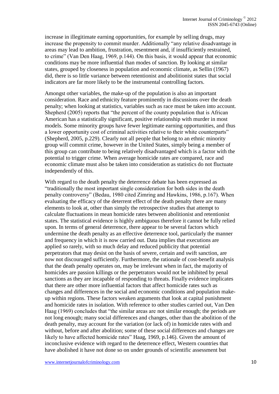increase in illegitimate earning opportunities, for example by selling drugs, may increase the propensity to commit murder. Additionally "any relative disadvantage in areas may lead to ambition, frustration, resentment and, if insufficiently restrained, to crime" (Van Den Haag, 1969, p.144). On this basis, it would appear that economic conditions may be more influential than modes of sanction. By looking at similar states, grouped by closeness in population and economic climate, as Sellin (1967) did, there is so little variance between retentionist and abolitionist states that social indicators are far more likely to be the instrumental controlling factors.

Amongst other variables, the make-up of the population is also an important consideration. Race and ethnicity feature prominently in discussions over the death penalty; when looking at statistics, variables such as race must be taken into account. Shepherd (2005) reports that "the percent of the county population that is African American has a statistically significant, positive relationship with murder in most models. Some minority groups have fewer legitimate earning opportunities, and thus a lower opportunity cost of criminal activities relative to their white counterparts" (Shepherd, 2005, p.229). Clearly not all people that belong to an ethnic minority group will commit crime, however in the United States, simply being a member of this group can contribute to being relatively disadvantaged which is a factor with the potential to trigger crime. When average homicide rates are compared, race and economic climate must also be taken into consideration as statistics do not fluctuate independently of this.

With regard to the death penalty the deterrence debate has been expressed as "traditionally the most important single consideration for both sides in the death penalty controversy" (Bedau, 1980 cited Zimring and Hawkins, 1986, p.167). When evaluating the efficacy of the deterrent effect of the death penalty there are many elements to look at, other than simply the retrospective studies that attempt to calculate fluctuations in mean homicide rates between abolitionist and retentionist states. The statistical evidence is highly ambiguous therefore it cannot be fully relied upon. In terms of general deterrence, there appear to be several factors which undermine the death penalty as an effective deterrence tool, particularly the manner and frequency in which it is now carried out. Data implies that executions are applied so rarely, with so much delay and reduced publicity that potential perpetrators that may desist on the basis of severe, certain and swift sanction, are now not discouraged sufficiently. Furthermore, the rationale of cost-benefit analysis that the death penalty operates on, may be irrelevant when in fact, the majority of homicides are passion killings or the perpetrators would not be inhibited by penal sanctions as they are incapable of responding to threats. Finally evidence implicates that there are other more influential factors that affect homicide rates such as changes and differences in the social and economic conditions and population makeup within regions. These factors weaken arguments that look at capital punishment and homicide rates in isolation. With reference to other studies carried out, Van Den Haag (1969) concludes that "the similar areas are not similar enough; the periods are not long enough; many social differences and changes, other than the abolition of the death penalty, may account for the variation (or lack of) in homicide rates with and without, before and after abolition; some of these social differences and changes are likely to have affected homicide rates" Haag, 1969, p.146). Given the amount of inconclusive evidence with regard to the deterrence effect, Western countries that have abolished it have not done so on under grounds of scientific assessment but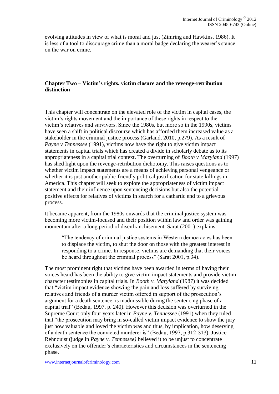evolving attitudes in view of what is moral and just (Zimring and Hawkins, 1986). It is less of a tool to discourage crime than a moral badge declaring the wearer's stance on the war on crime.

#### **Chapter Two – Victim's rights, victim closure and the revenge-retribution distinction**

This chapter will concentrate on the elevated role of the victim in capital cases, the victim's rights movement and the importance of these rights in respect to the victim's relatives and survivors. Since the 1980s, but more so in the 1990s, victims have seen a shift in political discourse which has afforded them increased value as a stakeholder in the criminal justice process (Garland, 2010, p.279). As a result of *Payne v Tennessee* (1991), victims now have the right to give victim impact statements in capital trials which has created a divide in scholarly debate as to its appropriateness in a capital trial context. The overturning of *Booth v Maryland* (1997) has shed light upon the revenge-retribution dichotomy. This raises questions as to whether victim impact statements are a means of achieving personal vengeance or whether it is just another public-friendly political justification for state killings in America. This chapter will seek to explore the appropriateness of victim impact statement and their influence upon sentencing decisions but also the potential positive effects for relatives of victims in search for a cathartic end to a grievous process.

It became apparent, from the 1980s onwards that the criminal justice system was becoming more victim-focused and their position within law and order was gaining momentum after a long period of disenfranchisement. Sarat (2001) explains:

"The tendency of criminal justice systems in Western democracies has been to displace the victim, to shut the door on those with the greatest interest in responding to a crime. In response, victims are demanding that their voices be heard throughout the criminal process" (Sarat 2001, p.34).

The most prominent right that victims have been awarded in terms of having their voices heard has been the ability to give victim impact statements and provide victim character testimonies in capital trials. In *Booth v. Maryland* (1987) it was decided that "victim impact evidence showing the pain and loss suffered by surviving relatives and friends of a murder victim offered in support of the prosecution's argument for a death sentence, is inadmissible during the sentencing phase of a capital trial" (Bedau, 1997, p. 240). However this decision was overturned in the Supreme Court only four years later in *Payne v. Tennessee* (1991) when they ruled that "the prosecution may bring in so-called victim impact evidence to show the jury just how valuable and loved the victim was and thus, by implication, how deserving of a death sentence the convicted murderer is" (Bedau, 1997, p.312-313). Justice Rehnquist (judge in *Payne v. Tennessee)* believed it to be unjust to concentrate exclusively on the offender's characteristics and circumstances in the sentencing phase.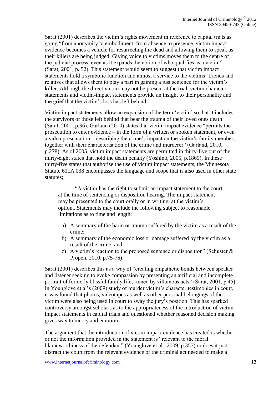Sarat (2001) describes the victim's rights movement in reference to capital trials as going "from anonymity to embodiment, from absence to presence, victim impact evidence becomes a vehicle for resurrecting the dead and allowing them to speak as their killers are being judged. Giving voice to victims moves them to the centre of the judicial process, even as it expands the notion of who qualifies as a victim" (Sarat, 2001, p. 52). This statement would seem to suggest that victim impact statements hold a symbolic function and almost a service to the victims' friends and relatives that allows them to play a part in gaining a just sentence for the victim's killer. Although the direct victim may not be present at the trial, victim character statements and victim-impact statements provide an insight to their personality and the grief that the victim's loss has left behind.

Victim impact statements allow an expansion of the term 'victim' so that it includes the survivors or those left behind that bear the trauma of their loved ones death (Sarat, 2001, p.36). Garland (2010) states that victim impact evidence "permits the prosecution to enter evidence – in the form of a written or spoken statement, or even a video presentation – describing the crime's impact on the victim's family member, together with their characterisation of the crime and murderer" (Garland, 2010, p.278). As of 2005, victim impact statements are permitted in thirty-five out of the thirty-eight states that hold the death penalty (Yoshino, 2005, p.1869). In these thirty-five states that authorise the use of victim impact statements, the Minnesota Statute 611A.038 encompasses the language and scope that is also used in other state statutes;

"A victim has the right to submit an impact statement to the court at the time of sentencing or disposition hearing. The impact statement may be presented to the court orally or in writing, at the victim's option...Statements may include the following subject to reasonable limitations as to time and length:

- a) A summary of the harm or trauma suffered by the victim as a result of the crime;
- b) A summary of the economic loss or damage suffered by the victim as a result of the crime; and
- c) A victim's reaction to the proposed sentence or disposition" (Schuster  $\&$ Propen, 2010, p.75-76)

Sarat (2001) describes this as a way of "creating empathetic bonds between speaker and listener seeking to evoke compassion by presenting an artificial and incomplete portrait of formerly blissful family life, ruined by villainous acts" (Sarat, 2001, p.45). In Younglove et al's (2009) study of murder victim's character testimonies in court, it was found that photos, videotapes as well as other personal belongings of the victim were also being used in court to sway the jury's position. This has sparked controversy amongst scholars as to the appropriateness of the introduction of victim impact statements in capital trials and questioned whether reasoned decision making gives way to mercy and emotion.

The argument that the introduction of victim impact evidence has created is whether or not the information provided in the statement is "relevant to the moral blameworthiness of the defendant" (Younglove et al., 2009, p.357) or does it just distract the court from the relevant evidence of the criminal act needed to make a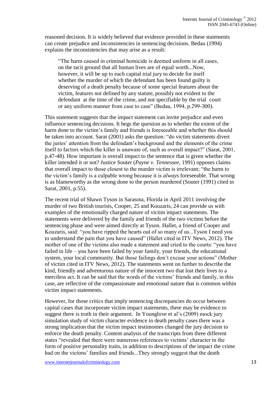reasoned decision. It is widely believed that evidence provided in these statements can create prejudice and inconsistencies in sentencing decisions. Bedau (1994) explains the inconsistencies that may arise as a result:

"The harm caused in criminal homicide is deemed uniform in all cases, on the tacit ground that all human lives are of equal worth...Now, however, it will be up to each capital trial jury to decide for itself whether the murder of which the defendant has been found guilty is deserving of a death penalty because of some special features about the victim, features not defined by any statute, possibly not evident to the defendant at the time of the crime, and not specifiable by the trial court or any uniform manner from case to case" (Bedau, 1994, p.299-300).

This statement suggests that the impact statement can invite prejudice and even influence sentencing decisions. It begs the question as to whether the extent of the harm done to the victim's family and friends is foreseeable and whether this should be taken into account. Sarat (2001) asks the question: "do victim statements divert the juries' attention from the defendant's background and the elements of the crime itself to factors which the killer is unaware of, such as overall impact?" (Sarat, 2001, p.47-48). How important is overall impact to the sentence that is given whether the killer intended it or not? Justice Souter (*Payne v. Tennessee*, 1991) opposes claims that overall impact to those closest to the murder victim is irrelevant; "the harm to the victim's family is a culpable wrong because it is *always* foreseeable. That wrong is as blameworthy as the wrong done to the person murdered (Souter (1991) cited in Sarat, 2001, p.55).

The recent trial of Shawn Tyson in Sarasota, Florida in April 2011 involving the murder of two British tourists, Cooper, 25 and Kouzaris, 24 can provide us with examples of the emotionally charged nature of victim impact statements. The statements were delivered by the family and friends of the two victims before the sentencing phase and were aimed directly at Tyson. Hallet, a friend of Cooper and Kouzaris, said: "you have ripped the hearts out of so many of us...Tyson I need you to understand the pain that you have caused" (Hallet cited in ITV News, 2012). The mother of one of the victims also made a statement and cried to the courts: "you have failed in life – you have been failed by your family, your friends, the educational system, your local community. But those failings don't excuse your actions" (Mother of victim cited in ITV News, 2012). The statements went on further to describe the kind, friendly and adventurous nature of the innocent two that lost their lives to a merciless act. It can be said that the words of the victims' friends and family, in this case, are reflective of the compassionate and emotional nature that is common within victim impact statements.

However, for those critics that imply sentencing discrepancies do occur between capital cases that incorporate victim impact statements, there may be evidence to suggest there is truth in their argument. In Younglove et al's (2009) mock jury simulation study of victim character evidence in death penalty cases there was a strong implication that the victim impact testimonies changed the jury decision to enforce the death penalty. Content analysis of the transcripts from three different states "revealed that there were numerous references to victims' character in the form of positive personality traits, in addition to descriptions of the impact the crime had on the victims' families and friends...They strongly suggest that the death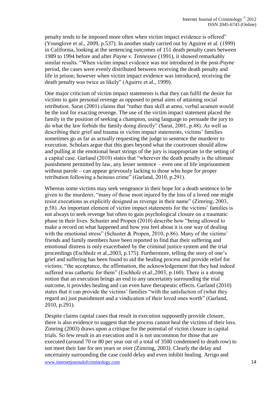penalty tends to be imposed more often when victim impact evidence is offered" (Younglove et al., 2009, p.537). In another study carried out by Aguirre et al. (1999) in California, looking at the sentencing outcomes of 151 death penalty cases between 1989 to 1994 before and after *Payne v. Tennessee* (1991), it showed remarkably similar results. "When victim impact evidence was not introduced in the post-*Payne* period, the cases were evenly distributed between receiving the death penalty and life in prison; however when victim impact evidence was introduced, receiving the death penalty was twice as likely" (Aguirre et al., 1999).

One major criticism of victim impact statements is that they can fulfil the desire for victims to gain personal revenge as opposed to penal aims of attaining social retribution. Sarat (2001) claims that "rather than skill at arms, verbal acumen would be the tool for exacting revenge. The use of the victim impact statement placed the family in the position of seeking a champion, using language to persuade the jury to do what the law forbids the family doing directly" (Sarat, 2001, p.48). As well as describing their grief and trauma in victim impact statements, victims' families sometimes go as far as actually requesting the judge to sentence the murderer to execution. Scholars argue that this goes beyond what the courtroom should allow and pulling at the emotional heart strings of the jury is inappropriate in the setting of a capital case. Garland (2010) states that "wherever the death penalty is the ultimate punishment permitted by law, any lesser sentence – even one of life imprisonment without parole – can appear grievously lacking to those who hope for proper retribution following a heinous crime" (Garland, 2010, p.291).

Whereas some victims may seek vengeance in their hope for a death sentence to be given to the murderer, "many of those most injured by the loss of a loved one might resist executions as explicitly designed as revenge in their name" (Zimring, 2003, p.58). An important element of victim impact statements for the victims' families is not always to seek revenge but often to gain psychological closure on a traumatic phase in their lives. Schuster and Propen (2010) describe how "being allowed to make a record on what happened and how you feel about it is one way of dealing with the emotional stress" (Schuster & Propen, 2010, p.86). Many of the victims' friends and family members have been reported to find that their suffering and emotional distress is only exacerbated by the criminal justice system and the trial proceedings (Eschholz et al.,2003, p.175). Furthermore, telling the story of one's grief and suffering has been found to aid the healing process and provide relief for victims; "the acceptance, the affirmation, the acknowledgement that they had indeed suffered was cathartic for them" (Eschholz et.al.,2003, p.160). There is a strong notion that an execution brings an end to any uncertainty surrounding the trial outcome, it provides healing and can even have therapeutic effects. Garland (2010) states that it can provide the victims' families "with the satisfaction of (what they regard as) just punishment and a vindication of their loved ones worth" (Garland, 2010, p.291).

www.internetjournalofcriminology.com 14 Despite claims capital cases that result in execution supposedly provide closure, there is also evidence to suggest that the process cannot heal the victims of their loss. Zimring (2003) draws upon a critique for the potential of victim closure in capital trials. So few result in an execution and it is not uncommon for those that are executed (around 70 or 80 per year out of a total of 3500 condemned to death row) to not meet their fate for ten years or over (Zimring, 2003). Clearly the delay and uncertainty surrounding the case could delay and even inhibit healing. Arrigo and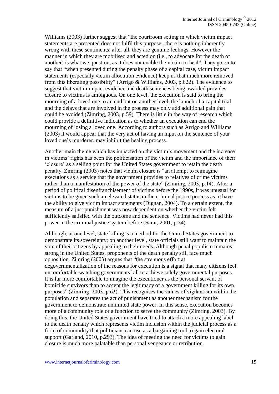Williams (2003) further suggest that "the courtroom setting in which victim impact statements are presented does not fulfil this purpose...there is nothing inherently wrong with these sentiments; after all, they are genuine feelings. However the manner in which they are mobilised and acted on (i.e., to advocate for the death of another) is what we question, as it does not enable the victim to heal". They go on to say that "when presented during the penalty phase of a capital case, victim impact statements (especially victim allocution evidence) keep us that much more removed from this liberating possibility" (Arrigo & Williams, 2003, p.622). The evidence to suggest that victim impact evidence and death sentences being awarded provides closure to victims is ambiguous. On one level, the execution is said to bring the mourning of a loved one to an end but on another level, the launch of a capital trial and the delays that are involved in the process may only add additional pain that could be avoided (Zimring, 2003, p.59). There is little in the way of research which could provide a definitive indication as to whether an execution can end the mourning of losing a loved one. According to authors such as Arrigo and Williams (2003) it would appear that the very act of having an input on the sentence of your loved one's murderer, may inhibit the healing process.

Another main theme which has impacted on the victim's movement and the increase in victims' rights has been the politicisation of the victim and the importance of their 'closure' as a selling point for the United States government to retain the death penalty. Zimring (2003) notes that victim closure is "an attempt to reimagine executions as a service that the government provides to relatives of crime victims rather than a manifestation of the power of the state" (Zimring, 2003, p.14). After a period of political disenfranchisement of victims before the 1990s, it was unusual for victims to be given such an elevated status in the criminal justice process as to have the ability to give victim impact statements (Dignan, 2004). To a certain extent, the measure of a just punishment was now dependent on whether the victim felt sufficiently satisfied with the outcome and the sentence. Victims had never had this power in the criminal justice system before (Sarat, 2001, p.34).

Although, at one level, state killing is a method for the United States government to demonstrate its sovereignty; on another level, state officials still want to maintain the vote of their citizens by appealing to their needs. Although penal populism remains strong in the United States, proponents of the death penalty still face much opposition. Zimring (2003) argues that "the strenuous effort at degovernmentalization of the reasons for execution is a signal that many citizens feel uncomfortable watching governments kill to achieve solely governmental purposes. It is far more comfortable to imagine the executioner as the personal servant of homicide survivors than to accept the legitimacy of a government killing for its own purposes" (Zimring, 2003, p.63). This recognises the values of vigilantism within the population and separates the act of punishment as another mechanism for the government to demonstrate unlimited state power. In this sense, execution becomes more of a community role or a function to serve the community (Zimring, 2003). By doing this, the United States government have tried to attach a more appealing label to the death penalty which represents victim inclusion within the judicial process as a form of commodity that politicians can use as a bargaining tool to gain electoral support (Garland, 2010, p.293). The idea of meeting the need for victims to gain closure is much more palatable than personal vengeance or retribution.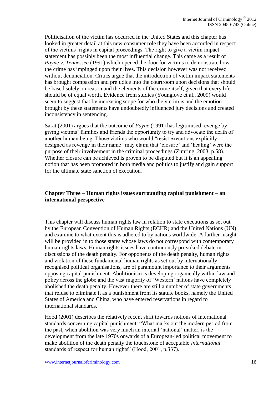Politicisation of the victim has occurred in the United States and this chapter has looked in greater detail at this new consumer role they have been accorded in respect of the victims' rights in capital proceedings. The right to give a victim impact statement has possibly been the most influential change. This came as a result of *Payne v. Tennessee* (1991) which opened the door for victims to demonstrate how the crime has impinged upon their lives. This decision however was not received without denunciation. Critics argue that the introduction of victim impact statements has brought compassion and prejudice into the courtroom upon decisions that should be based solely on reason and the elements of the crime itself, given that every life should be of equal worth. Evidence from studies (Younglove et al., 2009) would seem to suggest that by increasing scope for who the victim is and the emotion brought by these statements have undoubtedly influenced jury decisions and created inconsistency in sentencing.

Sarat (2001) argues that the outcome of *Payne* (1991) has legitimised revenge by giving victims' families and friends the opportunity to try and advocate the death of another human being. Those victims who would "resist executions explicitly designed as revenge in their name" may claim that 'closure' and 'healing' were the purpose of their involvement in the criminal proceedings (Zimring, 2003, p.58). Whether closure can be achieved is proven to be disputed but it is an appealing notion that has been promoted in both media and politics to justify and gain support for the ultimate state sanction of execution.

#### **Chapter Three – Human rights issues surrounding capital punishment – an international perspective**

This chapter will discuss human rights law in relation to state executions as set out by the European Convention of Human Rights (ECHR) and the United Nations (UN) and examine to what extent this is adhered to by nations worldwide. A further insight will be provided in to those states whose laws do not correspond with contemporary human rights laws. Human rights issues have continuously provoked debate in discussions of the death penalty. For opponents of the death penalty, human rights and violation of these fundamental human rights as set out by internationally recognised political organisations, are of paramount importance to their arguments opposing capital punishment. Abolitionism is developing organically within law and policy across the globe and the vast majority of 'Western' nations have completely abolished the death penalty. However there are still a number of state governments that refuse to eliminate it as a punishment from its statute books, namely the United States of America and China, who have entered reservations in regard to international standards.

Hood (2001) describes the relatively recent shift towards notions of international standards concerning capital punishment: "What marks out the modern period from the past, when abolition was very much an internal 'national' matter, is the development from the late 1970s onwards of a European-led political movement to make abolition of the death penalty the touchstone of acceptable *international* standards of respect for human rights" (Hood, 2001, p.337).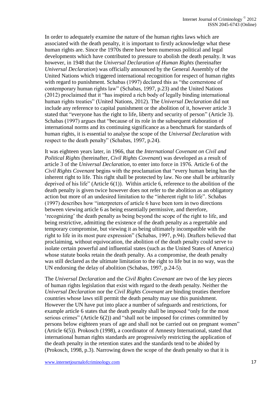In order to adequately examine the nature of the human rights laws which are associated with the death penalty, it is important to firstly acknowledge what these human rights are. Since the 1970s there have been numerous political and legal developments which have contributed to pressure to abolish the death penalty. It was however, in 1948 that the *Universal Declaration of Human Rights* (hereinafter *Universal Declaration*) was officially announced by the General Assembly of the United Nations which triggered international recognition for respect of human rights with regard to punishment. Schabas (1997) declared this as "the cornerstone of contemporary human rights law" (Schabas, 1997, p.23) and the United Nations (2012) proclaimed that it "has inspired a rich body of legally binding international human rights treaties" (United Nations, 2012). The *Universal Declaration* did not include any reference to capital punishment or the abolition of it, however article 3 stated that "everyone has the right to life, liberty and security of person" (Article 3). Schabas (1997) argues that "because of its role in the subsequent elaboration of international norms and its continuing significance as a benchmark for standards of human rights, it is essential to analyse the scope of the *Universal Declaration* with respect to the death penalty" (Schabas, 1997, p.24).

It was eighteen years later, in 1966, that the *International Covenant on Civil and Political Rights* (hereinafter, *Civil Rights Covenant*) was developed as a result of article 3 of the *Universal Declaration*, to enter into force in 1976*.* Article 6 of the *Civil Rights Covenant* begins with the proclamation that "every human being has the inherent right to life. This right shall be protected by law. No one shall be arbitrarily deprived of his life" (Article 6(1)). Within article 6, reference to the abolition of the death penalty is given twice however does not refer to the abolition as an obligatory action but more of an undesired limitation to the "inherent right to life". Schabas (1997) describes how "interpreters of article 6 have been torn in two directions between viewing article 6 as being essentially permissive, and therefore, 'recognizing' the death penalty as being beyond the scope of the right to life, and being restrictive, admitting the existence of the death penalty as a regrettable and temporary compromise, but viewing it as being ultimately incompatible with the right to life in its most pure expression" (Schabas, 1997, p.94). Drafters believed that proclaiming, without equivocation, the abolition of the death penalty could serve to isolate certain powerful and influential states (such as the United States of America) whose statute books retain the death penalty. As a compromise, the death penalty was still declared as the ultimate limitation to the right to life but in no way, was the UN endorsing the delay of abolition (Schabas, 1997, p.24-5).

The *Universal Declaration* and the *Civil Rights Covenant* are two of the key pieces of human rights legislation that exist with regard to the death penalty. Neither the *Universal Declaration* nor the *Civil Rights Covenant* are binding treaties therefore countries whose laws still permit the death penalty may use this punishment. However the UN have put into place a number of safeguards and restrictions, for example article 6 states that the death penalty shall be imposed "only for the most serious crimes" (Article 6(2)) and "shall not be imposed for crimes committed by persons below eighteen years of age and shall not be carried out on pregnant women" (Article 6(5)). Prokosch (1998), a coordinator of Amnesty International, stated that international human rights standards are progressively restricting the application of the death penalty in the retention states and the standards tend to be abided by (Prokosch, 1998, p.3). Narrowing down the scope of the death penalty so that it is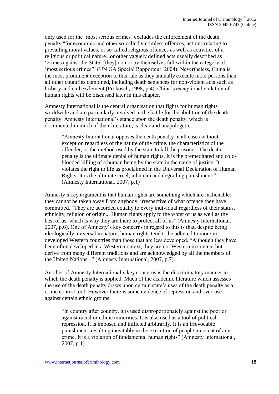only used for the 'most serious crimes' excludes the enforcement of the death penalty "for economic and other so-called victimless offences, actions relating to prevailing moral values, or so-called religious offences as well as activities of a religious or political nature...or other vaguely defined acts usually described as 'crimes against the State' [they] do not by themselves fall within the category of 'most serious crimes'" (UN GA Special Rapporteur, 2004). Nevertheless, China is the most prominent exception to this rule as they annually execute more persons than all other countries combined, including death sentences for non-violent acts such as bribery and embezzlement (Prokosch, 1998, p.4). China's exceptional violation of human rights will be discussed later in this chapter.

Amnesty International is the central organisation that fights for human rights worldwide and are particularly involved in the battle for the abolition of the death penalty. Amnesty International's stance upon the death penalty, which is documented in much of their literature, is clear and unapologetic:

"Amnesty International opposes the death penalty in all cases without exception regardless of the nature of the crime, the characteristics of the offender, or the method used by the state to kill the prisoner. The death penalty is the ultimate denial of human rights. It is the premeditated and coldblooded killing of a human being by the state in the name of justice. It violates the right to life as proclaimed in the Universal Declaration of Human Rights. It is the ultimate cruel, inhuman and degrading punishment." (Amnesty International, 2007, p.1)

Amnesty's key argument is that human rights are something which are inalienable; they cannot be taken away from anybody, irrespective of what offence they have committed. "They are accorded equally to every individual regardless of their status, ethnicity, religion or origin... Human rights apply to the worst of us as well as the best of us, which is why they are there to protect all of us" (Amnesty International, 2007, p.6). One of Amnesty's key concerns in regard to this is that, despite being ideologically universal in nature, human rights tend to be adhered to more in developed Western countries than those that are less developed. "Although they have been often developed in a Western context, they are not Western in content but derive from many different traditions and are acknowledged by all the members of the United Nations..." (Amnesty International, 2007, p.7).

Another of Amnesty International's key concerns is the discriminatory manner in which the death penalty is applied. Much of the academic literature which assesses the use of the death penalty draws upon certain state's uses of the death penalty as a crime control tool. However there is some evidence of repression and over-use against certain ethnic groups.

"In country after country, it is used disproportionately against the poor or against racial or ethnic minorities. It is also used as a tool of political repression. It is imposed and inflicted arbitrarily. It is an irrevocable punishment, resulting inevitably in the execution of people innocent of any crime. It is a violation of fundamental human rights" (Amnesty International, 2007, p.1).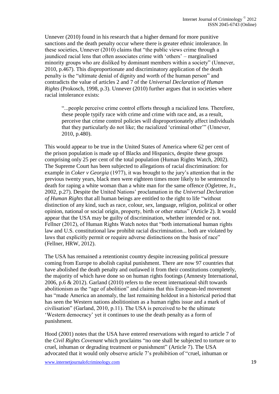Unnever (2010) found in his research that a higher demand for more punitive sanctions and the death penalty occur where there is greater ethnic intolerance. In these societies, Unnever (2010) claims that "the public views crime through a jaundiced racial lens that often associates crime with 'others' – marginalised minority groups who are disliked by dominant members within a society" (Unnever, 2010, p.467). This disproportionate and discriminatory application of the death penalty is the "ultimate denial of dignity and worth of the human person" and contradicts the value of articles 2 and 7 of the *Universal Declaration of Human Rights* (Prokosch, 1998, p.3). Unnever (2010) further argues that in societies where racial intolerance exists:

"...people perceive crime control efforts through a racialized lens. Therefore, these people typify race with crime and crime with race and, as a result, perceive that crime control policies will disproportionately affect individuals that they particularly do not like; the racialized 'criminal other'" (Unnever, 2010, p.480).

This would appear to be true in the United States of America where 62 per cent of the prison population is made up of Blacks and Hispanics, despite these groups comprising only 25 per cent of the total population (Human Rights Watch, 2002). The Supreme Court has been subjected to allegations of racial discrimination: for example in *Coker v Georgia* (1977), it was brought to the jury's attention that in the previous twenty years, black men were eighteen times more likely to be sentenced to death for raping a white woman than a white man for the same offence (Ogletree, Jr., 2002, p.27). Despite the United Nations' proclamation in the *Universal Declaration of Human Rights* that all human beings are entitled to the right to life "without distinction of any kind, such as race, colour, sex, language, religion, political or other opinion, national or social origin, property, birth or other status" (Article 2). It would appear that the USA may be guilty of discrimination, whether intended or not. Fellner (2012), of Human Rights Watch notes that "both international human rights law and U.S. constitutional law prohibit racial discrimination... both are violated by laws that explicitly permit or require adverse distinctions on the basis of race" (Fellner, HRW, 2012).

The USA has remained a retentionist country despite increasing political pressure coming from Europe to abolish capital punishment. There are now 97 countries that have abolished the death penalty and outlawed it from their constitutions completely, the majority of which have done so on human rights footings (Amnesty International, 2006, p.6 & 2012). Garland (2010) refers to the recent international shift towards abolitionism as the "age of abolition" and claims that this European-led movement has "made America an anomaly, the last remaining holdout in a historical period that has seen the Western nations abolitionism as a human rights issue and a mark of civilisation" (Garland, 2010, p.11). The USA is perceived to be the ultimate 'Western democracy' yet it continues to use the death penalty as a form of punishment.

Hood (2001) notes that the USA have entered reservations with regard to article 7 of the *Civil Rights Covenant* which proclaims "no one shall be subjected to torture or to cruel, inhuman or degrading treatment or punishment" (Article 7). The USA advocated that it would only observe article 7's prohibition of "cruel, inhuman or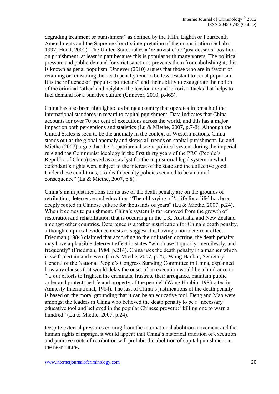degrading treatment or punishment" as defined by the Fifth, Eighth or Fourteenth Amendments and the Supreme Court's interpretation of their constitution (Schabas, 1997; Hood, 2001). The United States takes a 'relativistic' or 'just desserts' position on punishment, at least in part because this is popular with many voters. The political pressure and public demand for strict sanctions prevents them from abolishing it, this is known as penal populism. Unnever (2010) argues that those who are in favour of retaining or reinstating the death penalty tend to be less resistant to penal populism. It is the influence of "populist politicians" and their ability to exaggerate the notion of the criminal 'other' and heighten the tension around terrorist attacks that helps to fuel demand for a punitive culture (Unnever, 2010, p.465).

China has also been highlighted as being a country that operates in breach of the international standards in regard to capital punishment. Data indicates that China accounts for over 70 per cent of executions across the world, and this has a major impact on both perceptions and statistics (Lu & Miethe, 2007, p.7-8). Although the United States is seen to be the anomaly in the context of Western nations, China stands out as the global anomaly and skews all trends on capital punishment. Lu and Miethe (2007) argue that the "...patriarchal socio-political system during the imperial rule and the Communist ideology in the first thirty years of the PRC (People's Republic of China) served as a catalyst for the inquisitorial legal system in which defendant's rights were subject to the interest of the state and the collective good. Under these conditions, pro-death penalty policies seemed to be a natural consequence" (Lu & Miethe, 2007, p.8).

China's main justifications for its use of the death penalty are on the grounds of retribution, deterrence and education. "The old saying of 'a life for a life' has been deeply rooted in Chinese culture for thousands of years" (Lu & Miethe, 2007, p.24). When it comes to punishment, China's system is far removed from the growth of restoration and rehabilitation that is occurring in the UK, Australia and New Zealand amongst other countries. Deterrence is another justification for China's death penalty, although empirical evidence exists to suggest it is having a non-deterrent effect. Friedman (1984) claimed that according to the utilitarian doctrine, the death penalty may have a plausible deterrent effect in states "which use it quickly, mercilessly, and frequently" (Friedman, 1984, p.214). China uses the death penalty in a manner which is swift, certain and severe (Lu & Miethe, 2007, p.25). Wang Hanbin, Secretary General of the National People's Congress Standing Committee in China, explained how any clauses that would delay the onset of an execution would be a hindrance to "... our efforts to frighten the criminals, frustrate their arrogance, maintain public order and protect the life and property of the people" (Wang Hanbin, 1983 cited in Amnesty International, 1984). The last of China's justifications of the death penalty is based on the moral grounding that it can be an educative tool. Deng and Mao were amongst the leaders in China who believed the death penalty to be a 'necessary' educative tool and believed in the popular Chinese proverb: "killing one to warn a hundred" (Lu & Miethe, 2007, p.24).

Despite external pressures coming from the international abolition movement and the human rights campaign, it would appear that China's historical tradition of execution and punitive roots of retribution will prohibit the abolition of capital punishment in the near future.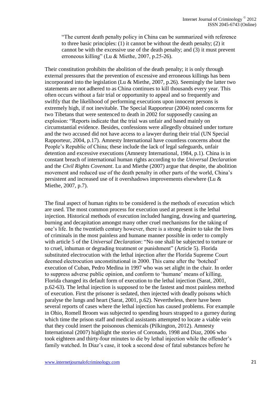"The current death penalty policy in China can be summarized with reference to three basic principles: (1) it cannot be without the death penalty; (2) it cannot be with the excessive use of the death penalty; and (3) it must prevent erroneous killing" (Lu & Miethe, 2007, p.25-26).

Their constitution prohibits the abolition of the death penalty; it is only through external pressures that the prevention of excessive and erroneous killings has been incorporated into the legislation (Lu & Miethe, 2007, p.26). Seemingly the latter two statements are not adhered to as China continues to kill thousands every year. This often occurs without a fair trial or opportunity to appeal and so frequently and swiftly that the likelihood of performing executions upon innocent persons is extremely high, if not inevitable. The Special Rapporteur (2004) noted concerns for two Tibetans that were sentenced to death in 2002 for supposedly causing an explosion: "Reports indicate that the trial was unfair and based mainly on circumstantial evidence. Besides, confessions were allegedly obtained under torture and the two accused did not have access to a lawyer during their trial (UN Special Rapporteur, 2004, p.17). Amnesty International have countless concerns about the People's Republic of China; these include the lack of legal safeguards, unfair detention and excessive executions (Amnesty International, 1984, p.1). China is in constant breach of international human rights according to the *Universal Declaration* and the *Civil Rights Covenant*. Lu and Miethe (2007) argue that despite, the abolition movement and reduced use of the death penalty in other parts of the world, China's persistent and increased use of it overshadows improvements elsewhere (Lu & Miethe, 2007, p.7).

The final aspect of human rights to be considered is the methods of execution which are used. The most common process for execution used at present is the lethal injection. Historical methods of execution included hanging, drawing and quartering, burning and decapitation amongst many other cruel mechanisms for the taking of one's life. In the twentieth century however, there is a strong desire to take the lives of criminals in the most painless and humane manner possible in order to comply with article 5 of the *Universal Declaration*: "No one shall be subjected to torture or to cruel, inhuman or degrading treatment or punishment" (Article 5). Florida substituted electrocution with the lethal injection after the Florida Supreme Court deemed electrocution unconstitutional in 2000. This came after the 'botched' execution of Cuban, Pedro Medina in 1997 who was set alight in the chair. In order to suppress adverse public opinion, and conform to 'humane' means of killing, Florida changed its default form of execution to the lethal injection (Sarat, 2001, p.62-63). The lethal injection is supposed to be the fastest and most painless method of execution. First the prisoner is sedated, then injected with deadly poisons which paralyse the lungs and heart (Sarat, 2001, p.62). Nevertheless, there have been several reports of cases where the lethal injection has caused problems. For example in Ohio, Romell Broom was subjected to spending hours strapped to a gurney during which time the prison staff and medical assistants attempted to locate a viable vein that they could insert the poisonous chemicals (Pilkington, 2012). Amnesty International (2007) highlight the stories of Coronado, 1998 and Diaz, 2006 who took eighteen and thirty-four minutes to die by lethal injection while the offender's family watched. In Diaz's case, it took a second dose of fatal substances before he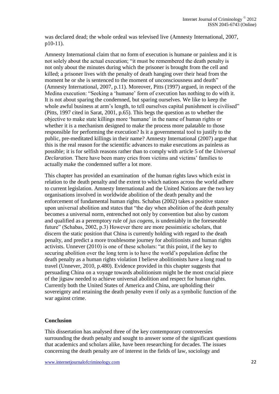was declared dead; the whole ordeal was televised live (Amnesty International, 2007, p10-11).

Amnesty International claim that no form of execution is humane or painless and it is not solely about the actual execution; "it must be remembered the death penalty is not only about the minutes during which the prisoner is brought from the cell and killed; a prisoner lives with the penalty of death hanging over their head from the moment he or she is sentenced to the moment of unconsciousness and death" (Amnesty International, 2007, p.11). Moreover, Pitts (1997) argued, in respect of the Medina execution: "Seeking a 'humane' form of execution has nothing to do with it. It is not about sparing the condemned, but sparing ourselves. We like to keep the whole awful business at arm's length, to tell ourselves capital punishment is civilised" (Pitts, 1997 cited in Sarat, 2001, p.65). This begs the question as to whether the objective to make state killings more 'humane' in the name of human rights or whether it is a mechanism designed to make the process more palatable to those responsible for performing the execution? Is it a governmental tool to justify to the public, pre-meditated killings in their name? Amnesty International (2007) argue that this is the real reason for the scientific advances to make executions as painless as possible; it is for selfish reasons rather than to comply with article 5 of the *Universal Declaration*. There have been many cries from victims and victims' families to actually make the condemned suffer a lot more.

This chapter has provided an examination of the human rights laws which exist in relation to the death penalty and the extent to which nations across the world adhere to current legislation. Amnesty International and the United Nations are the two key organisations involved in worldwide abolition of the death penalty and the enforcement of fundamental human rights. Schabas (2002) takes a positive stance upon universal abolition and states that "the day when abolition of the death penalty becomes a universal norm, entrenched not only by convention but also by custom and qualified as a peremptory rule of *jus cogens*, is undeniably in the foreseeable future" (Schabas, 2002, p.3) However there are more pessimistic scholars, that discern the static position that China is currently holding with regard to the death penalty, and predict a more troublesome journey for abolitionists and human rights activists. Unnever (2010) is one of these scholars: "at this point, if the key to securing abolition over the long term is to have the world's population define the death penalty as a human rights violation I believe abolitionists have a long road to travel (Unnever, 2010, p.480). Evidence provided in this chapter suggests that persuading China on a voyage towards abolitionism might be the most crucial piece of the jigsaw needed to achieve universal abolition and respect for human rights. Currently both the United States of America and China, are upholding their sovereignty and retaining the death penalty even if only as a symbolic function of the war against crime.

### **Conclusion**

This dissertation has analysed three of the key contemporary controversies surrounding the death penalty and sought to answer some of the significant questions that academics and scholars alike, have been researching for decades. The issues concerning the death penalty are of interest in the fields of law, sociology and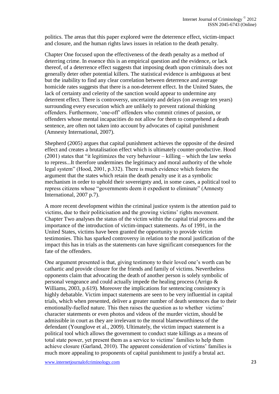politics. The areas that this paper explored were the deterrence effect, victim-impact and closure, and the human rights laws issues in relation to the death penalty.

Chapter One focused upon the effectiveness of the death penalty as a method of deterring crime. In essence this is an empirical question and the evidence, or lack thereof, of a deterrence effect suggests that imposing death upon criminals does not generally deter other potential killers. The statistical evidence is ambiguous at best but the inability to find any clear correlation between deterrence and average homicide rates suggests that there is a non-deterrent effect. In the United States, the lack of certainty and celerity of the sanction would appear to undermine any deterrent effect. There is controversy, uncertainty and delays (on average ten years) surrounding every execution which are unlikely to prevent rational thinking offenders. Furthermore, 'one-off' offenders who commit crimes of passion, or offenders whose mental incapacities do not allow for them to comprehend a death sentence, are often not taken into account by advocates of capital punishment (Amnesty International, 2007).

Shepherd (2005) argues that capital punishment achieves the opposite of the desired effect and creates a brutalisation effect which is ultimately counter-productive. Hood (2001) states that "it legitimizes the very behaviour – killing – which the law seeks to repress...It therefore undermines the legitimacy and moral authority of the whole legal system" (Hood, 2001, p.332). There is much evidence which fosters the argument that the states which retain the death penalty use it as a symbolic mechanism in order to uphold their sovereignty and, in some cases, a political tool to repress citizens whose "governments deem it expedient to eliminate" (Amnesty International, 2007 p.7).

A more recent development within the criminal justice system is the attention paid to victims, due to their politicisation and the growing victims' rights movement. Chapter Two analyses the status of the victim within the capital trial process and the importance of the introduction of victim-impact statements. As of 1991, in the United States, victims have been granted the opportunity to provide victim testimonies. This has sparked controversy in relation to the moral justification of the impact this has in trials as the statements can have significant consequences for the fate of the offenders.

One argument presented is that, giving testimony to their loved one's worth can be cathartic and provide closure for the friends and family of victims. Nevertheless opponents claim that advocating the death of another person is solely symbolic of personal vengeance and could actually impede the healing process (Arrigo & Williams, 2003, p.619). Moreover the implications for sentencing consistency is highly debatable. Victim impact statements are seen to be very influential in capital trials, which when presented, deliver a greater number of death sentences due to their emotionally-fuelled nature. This then raises the question as to whether victims' character statements or even photos and videos of the murder victim, should be admissible in court as they are irrelevant to the moral blameworthiness of the defendant (Younglove et al., 2009). Ultimately, the victim impact statement is a political tool which allows the government to conduct state killings as a means of total state power, yet present them as a service to victims' families to help them achieve closure (Garland, 2010). The apparent consideration of victims' families is much more appealing to proponents of capital punishment to justify a brutal act.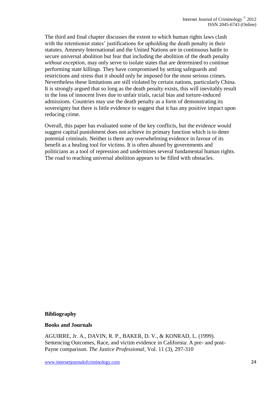The third and final chapter discusses the extent to which human rights laws clash with the retentionist states' justifications for upholding the death penalty in their statutes. Amnesty International and the United Nations are in continuous battle to secure universal abolition but fear that including the abolition of the death penalty *without exception,* may only serve to isolate states that are determined to continue performing state killings. They have compromised by setting safeguards and restrictions and stress that it should only be imposed for the most serious crimes. Nevertheless these limitations are still violated by certain nations, particularly China. It is strongly argued that so long as the death penalty exists, this will inevitably result in the loss of innocent lives due to unfair trials, racial bias and torture-induced admissions. Countries may use the death penalty as a form of demonstrating its sovereignty but there is little evidence to suggest that it has any positive impact upon reducing crime.

Overall, this paper has evaluated some of the key conflicts, but the evidence would suggest capital punishment does not achieve its primary function which is to deter potential criminals. Neither is there any overwhelming evidence in favour of its benefit as a healing tool for victims. It is often abused by governments and politicians as a tool of repression and undermines several fundamental human rights. The road to reaching universal abolition appears to be filled with obstacles.

#### **Bibliography**

#### **Books and Journals**

AGUIRRE, Jr. A., DAVIN, R. P., BAKER, D. V., & KONRAD, L. (1999). Sentencing Outcomes, Race, and victim evidence in California: A pre- and post-Payne comparison. *The Justice Professional*, Vol. 11 (3), 297-310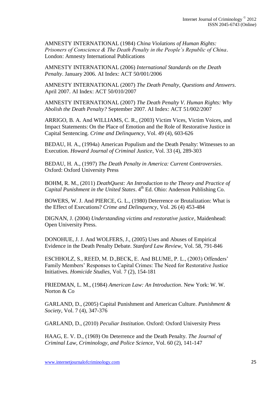AMNESTY INTERNATIONAL (1984) *China Violations of Human Rights: Prisoners of Conscience & The Death Penalty in the People's Republic of China*. London: Amnesty International Publications

AMNESTY INTERNATIONAL (2006) *International Standards on the Death Penalty*. January 2006. AI Index: ACT 50/001/2006

AMNESTY INTERNATIONAL (2007) *The Death Penalty, Questions and Answers*. April 2007. AI Index: ACT 50/010/2007

AMNESTY INTERNATIONAL (2007) *The Death Penalty V. Human Rights: Why Abolish the Death Penalty?* September 2007. AI Index: ACT 51/002/2007

ARRIGO, B. A. And WILLIAMS, C. R., (2003) Victim Vices, Victim Voices, and Impact Statements: On the Place of Emotion and the Role of Restorative Justice in Capital Sentencing. *Crime and Delinquency*, Vol. 49 (4), 603-626

BEDAU, H. A., (1994a) American Populism and the Death Penalty: Witnesses to an Execution. *Howard Journal of Criminal Justice*, Vol. 33 (4), 289-303

BEDAU, H. A., (1997) *The Death Penalty in America: Current Controversies*. Oxford: Oxford University Press

BOHM, R. M., (2011) *DeathQuest: An Introduction to the Theory and Practice of Capital Punishment in the United States*. 4<sup>th</sup> Ed. Ohio: Anderson Publishing Co.

BOWERS, W. J. And PIERCE, G. L., (1980) Deterrence or Brutalization: What is the Effect of Executions? *Crime and Delinquency*, Vol. 26 (4) 453-484

DIGNAN, J. (2004) *Understanding victims and restorative justice*, Maidenhead: Open University Press.

DONOHUE, J. J. And WOLFERS, J., (2005) Uses and Abuses of Empirical Evidence in the Death Penalty Debate. *Stanford Law Review,* Vol. 58, 791-846

ESCHHOLZ, S., REED, M. D.,BECK, E. And BLUME, P. L., (2003) Offenders' Family Members' Responses to Capital Crimes: The Need for Restorative Justice Initiatives. *Homicide Studies,* Vol. 7 (2), 154-181

FRIEDMAN, L. M., (1984) *American Law: An Introduction*. New York: W. W. Norton & Co

GARLAND, D., (2005) Capital Punishment and American Culture. *Punishment & Society*, Vol. 7 (4), 347-376

GARLAND, D., (2010) *Peculiar Institution*. Oxford: Oxford University Press

HAAG, E. V. D., (1969) On Deterrence and the Death Penalty. *The Journal of Criminal Law, Criminology, and Police Science*, Vol. 60 (2), 141-147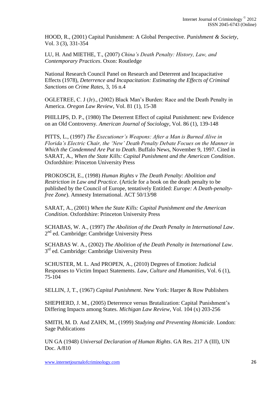HOOD, R., (2001) Capital Punishment: A Global Perspective. *Punishment & Society*, Vol. 3 (3), 331-354

LU, H. And MIETHE, T., (2007) *China's Death Penalty: History, Law, and Contemporary Practices*. Oxon: Routledge

National Research Council Panel on Research and Deterrent and Incapacitative Effects (1978), *Deterrence and Incapacitation: Estimating the Effects of Criminal Sanctions on Crime Rates,* 3, 16 n.4

OGLETREE, C. J (Jr)., (2002) Black Man's Burden: Race and the Death Penalty in America. *Oregon Law Review*, Vol. 81 (1), 15-38

PHILLIPS, D. P., (1980) The Deterrent Effect of capital Punishment: new Evidence on an Old Controversy. *American Journal of Sociology*, Vol. 86 (1), 139-148

PITTS, L., (1997) *The Executioner's Weapons: After a Man is Burned Alive in Florida's Electric Chair, the 'New' Death Penalty Debate Focues on the Manner in Which the Condemned Are Put to Death*. Buffalo News, November 9, 1997. Cited in SARAT, A., *When the State Kills: Capital Punishment and the American Condition*. Oxfordshire: Princeton University Press

PROKOSCH, E., (1998) *Human Rights v The Death Penalty: Abolition and Restriction in Law and Practice*. (Article for a book on the death penalty to be published by the Council of Europe, tentatively Entitled: *Europe: A Death-penaltyfree Zone*). Amnesty International. ACT 50/13/98

SARAT, A., (2001) *When the State Kills: Capital Punishment and the American Condition*. Oxfordshire: Princeton University Press

SCHABAS, W. A., (1997) *The Abolition of the Death Penalty in International Law*. 2<sup>nd</sup> ed. Cambridge: Cambridge University Press

SCHABAS W. A., (2002) *The Abolition of the Death Penalty in International Law*. 3<sup>rd</sup> ed. Cambridge: Cambridge University Press

SCHUSTER, M. L. And PROPEN, A., (2010) Degrees of Emotion: Judicial Responses to Victim Impact Statements. *Law, Culture and Humanities*, Vol. 6 (1), 75-104

SELLIN, J, T., (1967) *Capital Punishment*. New York: Harper & Row Publishers

SHEPHERD, J. M., (2005) Deterrence versus Brutalization: Capital Punishment's Differing Impacts among States. *Michigan Law Review*, Vol. 104 (x) 203-256

SMITH, M. D. And ZAHN, M., (1999) *Studying and Preventing Homicide*. London: Sage Publications

UN GA (1948) *Universal Declaration of Human Rights*. GA Res. 217 A (III), UN Doc. A/810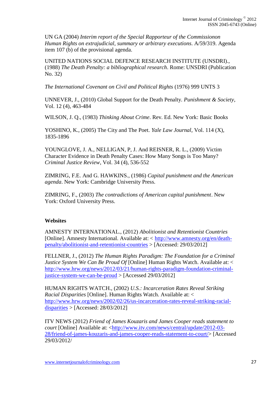UN GA (2004) *Interim report of the Special Rapporteur of the Commissionon Human Rights on extrajudicial, summary or arbitrary executions*. A/59/319. Agenda item 107 (b) of the provisional agenda.

UNITED NATIONS SOCIAL DEFENCE RESEARCH INSTITUTE (UNSDRI)., (1988) *The Death Penalty: a bibliographical research*. Rome: UNSDRI (Publication No. 32)

*The International Covenant on Civil and Political Rights* (1976) 999 UNTS 3

UNNEVER, J., (2010) Global Support for the Death Penalty. *Punishment & Society*, Vol. 12 (4), 463-484

WILSON, J. Q., (1983) *Thinking About Crime*. Rev. Ed. New York: Basic Books

YOSHINO, K., (2005) The City and The Poet. *Yale Law Journal*, Vol. 114 (X), 1835-1896

YOUNGLOVE, J. A., NELLIGAN, P, J. And REISNER, R. L., (2009) Victim Character Evidence in Death Penalty Cases: How Many Songs is Too Many? *Criminal Justice Review*, Vol. 34 (4), 536-552

ZIMRING, F.E. And G. HAWKINS., (1986) *Capital punishment and the American agenda*. New York: Cambridge University Press.

ZIMRING, F., (2003) *The contradictions of American capital punishment*. New York: Oxford University Press.

### **Websites**

AMNESTY INTERNATIONAL., (2012) *Abolitionist and Retentionist Countries* [Online]. Amnesty International. Available at: < [http://www.amnesty.org/en/death](http://www.amnesty.org/en/death-penalty/abolitionist-and-retentionist-countries)[penalty/abolitionist-and-retentionist-countries](http://www.amnesty.org/en/death-penalty/abolitionist-and-retentionist-countries) > [Accessed: 29/03/2012]

FELLNER, J., (2012) *The Human Rights Paradigm: The Foundation for a Criminal Justice System We Can Be Proud Of* [Online] Human Rights Watch. Available at: < [http://www.hrw.org/news/2012/03/21/human-rights-paradigm-foundation-criminal](http://www.hrw.org/news/2012/03/21/human-rights-paradigm-foundation-criminal-justice-system-we-can-be-proud)[justice-system-we-can-be-proud](http://www.hrw.org/news/2012/03/21/human-rights-paradigm-foundation-criminal-justice-system-we-can-be-proud) > [Accessed 29/03/2012]

HUMAN RIGHTS WATCH., (2002) *U.S.: Incarceration Rates Reveal Striking Racial Disparities* [Online]. Human Rights Watch. Available at: < [http://www.hrw.org/news/2002/02/26/us-incarceration-rates-reveal-striking-racial](http://www.hrw.org/news/2002/02/26/us-incarceration-rates-reveal-striking-racial-disparities)[disparities](http://www.hrw.org/news/2002/02/26/us-incarceration-rates-reveal-striking-racial-disparities)  $>$  [Accessed: 28/03/2012]

ITV NEWS (2012) *Friend of James Kouzaris and James Cooper reads statement to court* [Online] Available at: [<http://www.itv.com/news/central/update/2012-03-](http://www.itv.com/news/central/update/2012-03-28/friend-of-james-kouzaris-and-james-cooper-reads-statement-to-court/) [28/friend-of-james-kouzaris-and-james-cooper-reads-statement-to-court/>](http://www.itv.com/news/central/update/2012-03-28/friend-of-james-kouzaris-and-james-cooper-reads-statement-to-court/) [Accessed 29/03/2012/